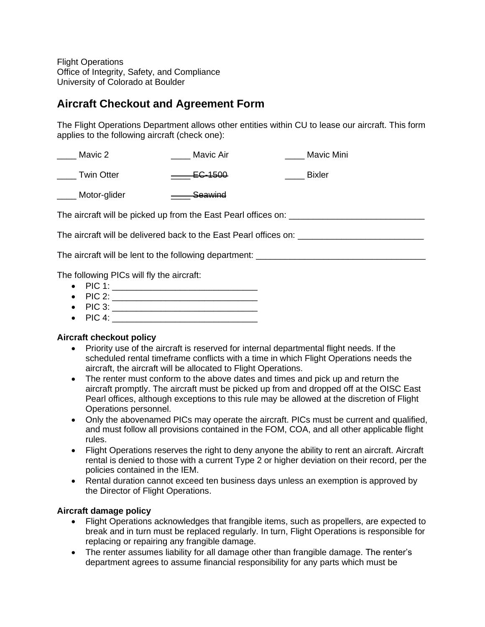**Flight Operations** Office of Integrity, Safety, and Compliance University of Colorado at Boulder

## **Aircraft Checkout and Agreement Form**

The Flight Operations Department allows other entities within CU to lease our aircraft. This form applies to the following aircraft (check one):

\_\_\_\_ Mavic 2 \_\_\_\_\_\_ \_\_\_\_\_ Mavic Air \_\_\_\_\_\_ \_\_\_\_\_ Mavic Mini

\_\_\_\_ Twin Otter \_\_\_\_\_ \_\_\_\_ EC-1500 \_\_\_\_\_ Bixler

\_\_\_\_ Motor-glider \_\_\_\_\_\_\_\_ Seawind

The aircraft will be picked up from the East Pearl offices on:

The aircraft will be delivered back to the East Pearl offices on: \_\_\_\_\_\_\_\_\_\_\_\_\_\_\_\_\_\_\_\_\_\_\_\_\_\_

The aircraft will be lent to the following department:

The following PICs will fly the aircraft:

- PIC 1: \_\_\_\_\_\_\_\_\_\_\_\_\_\_\_\_\_\_\_\_\_\_\_\_\_\_\_\_\_\_
- $\bullet$  PIC 2:
- PIC 3: \_\_\_\_\_\_\_\_\_\_\_\_\_\_\_\_\_\_\_\_\_\_\_\_\_\_\_\_\_\_
- $\bullet$  PIC 4:

## **Aircraft checkout policy**

- Priority use of the aircraft is reserved for internal departmental flight needs. If the scheduled rental timeframe conflicts with a time in which Flight Operations needs the aircraft, the aircraft will be allocated to Flight Operations.
- The renter must conform to the above dates and times and pick up and return the aircraft promptly. The aircraft must be picked up from and dropped off at the OISC East Pearl offices, although exceptions to this rule may be allowed at the discretion of Flight Operations personnel.
- Only the abovenamed PICs may operate the aircraft. PICs must be current and qualified, and must follow all provisions contained in the FOM, COA, and all other applicable flight rules.
- Flight Operations reserves the right to deny anyone the ability to rent an aircraft. Aircraft rental is denied to those with a current Type 2 or higher deviation on their record, per the policies contained in the IEM.
- Rental duration cannot exceed ten business days unless an exemption is approved by the Director of Flight Operations.

## **Aircraft damage policy**

- Flight Operations acknowledges that frangible items, such as propellers, are expected to break and in turn must be replaced regularly. In turn, Flight Operations is responsible for replacing or repairing any frangible damage.
- The renter assumes liability for all damage other than frangible damage. The renter's department agrees to assume financial responsibility for any parts which must be